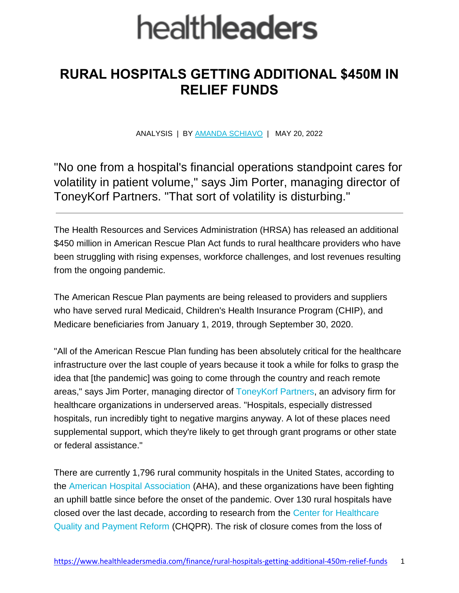## health**leaders**

## **RURAL HOSPITALS GETTING ADDITIONAL \$450M IN RELIEF FUNDS**

ANALYSIS | BY [AMANDA SCHIAVO](https://www.healthleadersmedia.com/users/amanda-schiavo) | MAY 20, 2022

"No one from a hospital's financial operations standpoint cares for volatility in patient volume," says Jim Porter, managing director of ToneyKorf Partners. "That sort of volatility is disturbing."

The Health Resources and Services Administration (HRSA) has released an additional \$450 million in American Rescue Plan Act funds to rural healthcare providers who have been struggling with rising expenses, workforce challenges, and lost revenues resulting from the ongoing pandemic.

The American Rescue Plan payments are being released to providers and suppliers who have served rural Medicaid, Children's Health Insurance Program (CHIP), and Medicare beneficiaries from January 1, 2019, through September 30, 2020.

"All of the American Rescue Plan funding has been absolutely critical for the healthcare infrastructure over the last couple of years because it took a while for folks to grasp the idea that [the pandemic] was going to come through the country and reach remote areas," says Jim Porter, managing director of [ToneyKorf Partners,](https://toneykorf.com/) an advisory firm for healthcare organizations in underserved areas. "Hospitals, especially distressed hospitals, run incredibly tight to negative margins anyway. A lot of these places need supplemental support, which they're likely to get through grant programs or other state or federal assistance."

There are currently 1,796 rural community hospitals in the United States, according to the [American Hospital Association](https://www.aha.org/statistics/fast-facts-us-hospitals) (AHA), and these organizations have been fighting an uphill battle since before the onset of the pandemic. Over 130 rural hospitals have closed over the last decade, according to research from the [Center for Healthcare](https://ruralhospitals.chqpr.org/)  [Quality and Payment Reform](https://ruralhospitals.chqpr.org/) (CHQPR). The risk of closure comes from the loss of